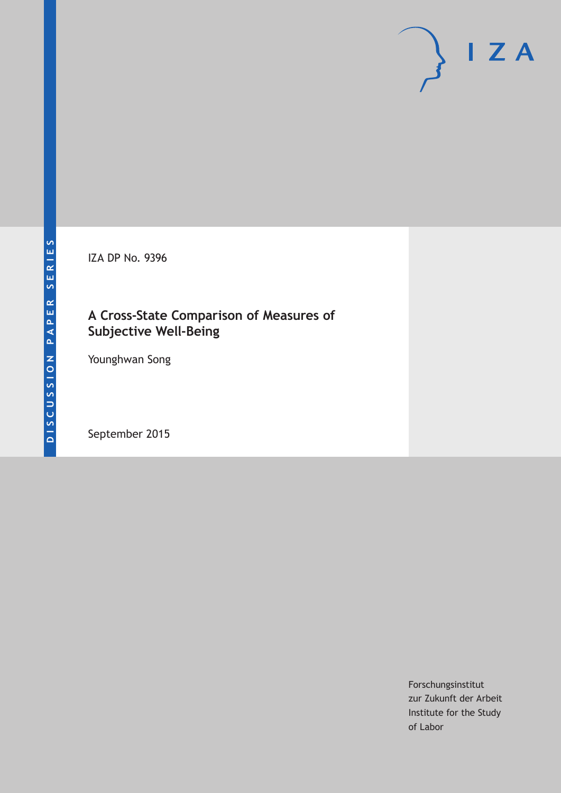IZA DP No. 9396

### **A Cross-State Comparison of Measures of Subjective Well-Being**

Younghwan Song

September 2015

Forschungsinstitut zur Zukunft der Arbeit Institute for the Study of Labor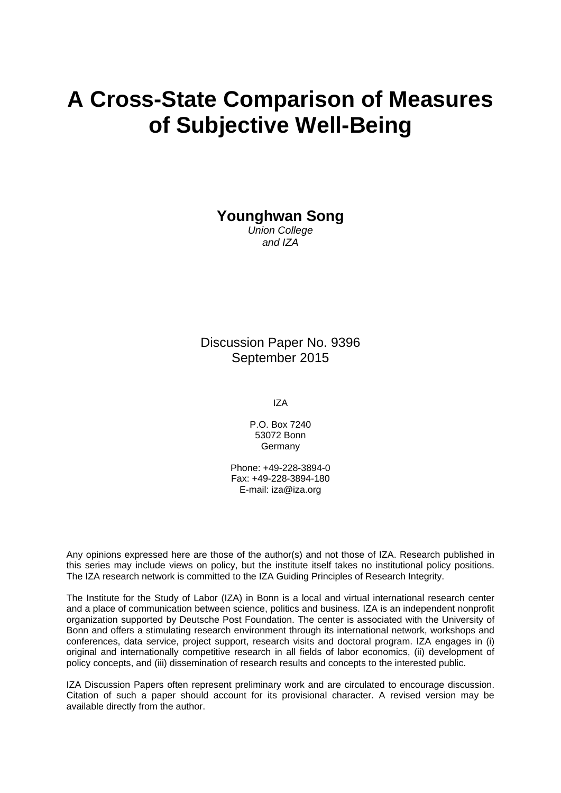# **A Cross-State Comparison of Measures of Subjective Well-Being**

**Younghwan Song** 

*Union College and IZA* 

Discussion Paper No. 9396 September 2015

IZA

P.O. Box 7240 53072 Bonn Germany

Phone: +49-228-3894-0 Fax: +49-228-3894-180 E-mail: iza@iza.org

Any opinions expressed here are those of the author(s) and not those of IZA. Research published in this series may include views on policy, but the institute itself takes no institutional policy positions. The IZA research network is committed to the IZA Guiding Principles of Research Integrity.

The Institute for the Study of Labor (IZA) in Bonn is a local and virtual international research center and a place of communication between science, politics and business. IZA is an independent nonprofit organization supported by Deutsche Post Foundation. The center is associated with the University of Bonn and offers a stimulating research environment through its international network, workshops and conferences, data service, project support, research visits and doctoral program. IZA engages in (i) original and internationally competitive research in all fields of labor economics, (ii) development of policy concepts, and (iii) dissemination of research results and concepts to the interested public.

IZA Discussion Papers often represent preliminary work and are circulated to encourage discussion. Citation of such a paper should account for its provisional character. A revised version may be available directly from the author.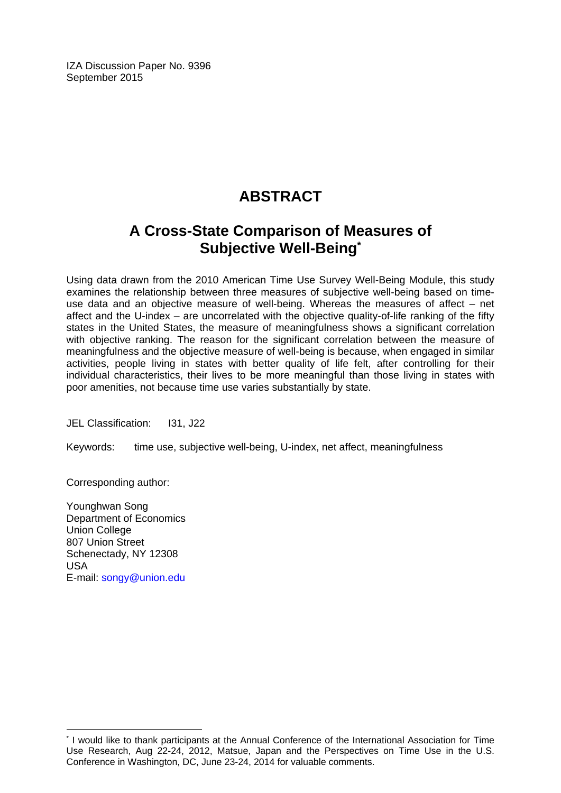IZA Discussion Paper No. 9396 September 2015

# **ABSTRACT**

# **A Cross-State Comparison of Measures of Subjective Well-Being\***

Using data drawn from the 2010 American Time Use Survey Well-Being Module, this study examines the relationship between three measures of subjective well-being based on timeuse data and an objective measure of well-being. Whereas the measures of affect – net affect and the U-index – are uncorrelated with the objective quality-of-life ranking of the fifty states in the United States, the measure of meaningfulness shows a significant correlation with objective ranking. The reason for the significant correlation between the measure of meaningfulness and the objective measure of well-being is because, when engaged in similar activities, people living in states with better quality of life felt, after controlling for their individual characteristics, their lives to be more meaningful than those living in states with poor amenities, not because time use varies substantially by state.

JEL Classification: I31, J22

Keywords: time use, subjective well-being, U-index, net affect, meaningfulness

Corresponding author:

Younghwan Song Department of Economics Union College 807 Union Street Schenectady, NY 12308 USA E-mail: songy@union.edu

 $\overline{a}$ 

<sup>\*</sup> I would like to thank participants at the Annual Conference of the International Association for Time Use Research, Aug 22-24, 2012, Matsue, Japan and the Perspectives on Time Use in the U.S. Conference in Washington, DC, June 23-24, 2014 for valuable comments.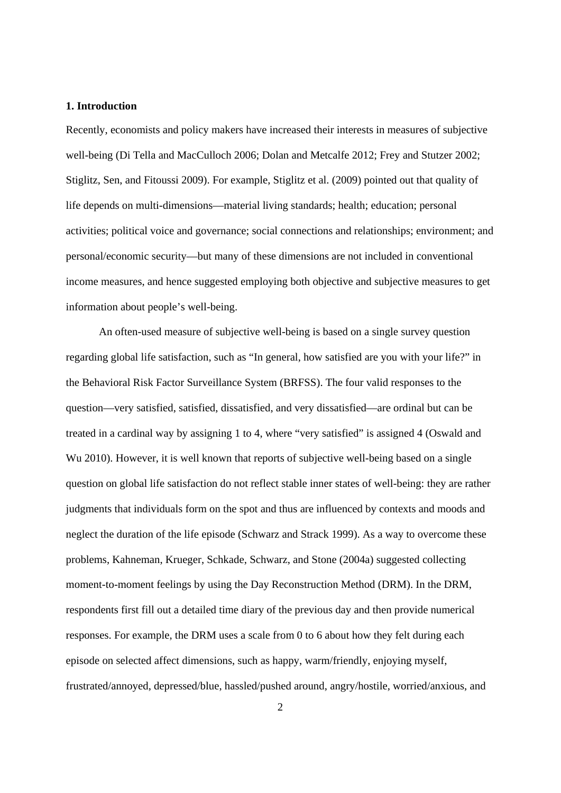#### **1. Introduction**

Recently, economists and policy makers have increased their interests in measures of subjective well-being (Di Tella and MacCulloch 2006; Dolan and Metcalfe 2012; Frey and Stutzer 2002; Stiglitz, Sen, and Fitoussi 2009). For example, Stiglitz et al. (2009) pointed out that quality of life depends on multi-dimensions—material living standards; health; education; personal activities; political voice and governance; social connections and relationships; environment; and personal/economic security—but many of these dimensions are not included in conventional income measures, and hence suggested employing both objective and subjective measures to get information about people's well-being.

An often-used measure of subjective well-being is based on a single survey question regarding global life satisfaction, such as "In general, how satisfied are you with your life?" in the Behavioral Risk Factor Surveillance System (BRFSS). The four valid responses to the question—very satisfied, satisfied, dissatisfied, and very dissatisfied—are ordinal but can be treated in a cardinal way by assigning 1 to 4, where "very satisfied" is assigned 4 (Oswald and Wu 2010). However, it is well known that reports of subjective well-being based on a single question on global life satisfaction do not reflect stable inner states of well-being: they are rather judgments that individuals form on the spot and thus are influenced by contexts and moods and neglect the duration of the life episode (Schwarz and Strack 1999). As a way to overcome these problems, Kahneman, Krueger, Schkade, Schwarz, and Stone (2004a) suggested collecting moment-to-moment feelings by using the Day Reconstruction Method (DRM). In the DRM, respondents first fill out a detailed time diary of the previous day and then provide numerical responses. For example, the DRM uses a scale from 0 to 6 about how they felt during each episode on selected affect dimensions, such as happy, warm/friendly, enjoying myself, frustrated/annoyed, depressed/blue, hassled/pushed around, angry/hostile, worried/anxious, and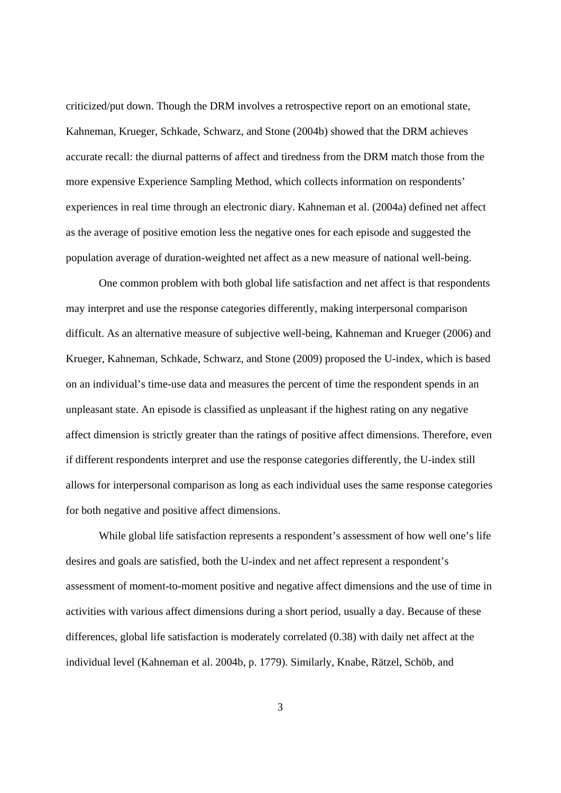criticized/put down. Though the DRM involves a retrospective report on an emotional state, Kahneman, Krueger, Schkade, Schwarz, and Stone (2004b) showed that the DRM achieves accurate recall: the diurnal patterns of affect and tiredness from the DRM match those from the more expensive Experience Sampling Method, which collects information on respondents' experiences in real time through an electronic diary. Kahneman et al. (2004a) defined net affect as the average of positive emotion less the negative ones for each episode and suggested the population average of duration-weighted net affect as a new measure of national well-being.

One common problem with both global life satisfaction and net affect is that respondents may interpret and use the response categories differently, making interpersonal comparison difficult. As an alternative measure of subjective well-being, Kahneman and Krueger (2006) and Krueger, Kahneman, Schkade, Schwarz, and Stone (2009) proposed the U-index, which is based on an individual's time-use data and measures the percent of time the respondent spends in an unpleasant state. An episode is classified as unpleasant if the highest rating on any negative affect dimension is strictly greater than the ratings of positive affect dimensions. Therefore, even if different respondents interpret and use the response categories differently, the U-index still allows for interpersonal comparison as long as each individual uses the same response categories for both negative and positive affect dimensions.

While global life satisfaction represents a respondent's assessment of how well one's life desires and goals are satisfied, both the U-index and net affect represent a respondent's assessment of moment-to-moment positive and negative affect dimensions and the use of time in activities with various affect dimensions during a short period, usually a day. Because of these differences, global life satisfaction is moderately correlated (0.38) with daily net affect at the individual level (Kahneman et al. 2004b, p. 1779). Similarly, Knabe, Rätzel, Schöb, and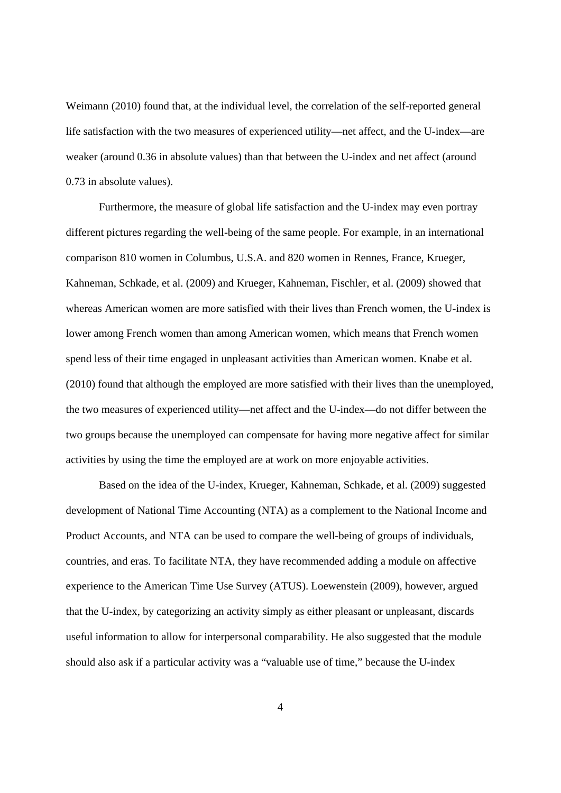Weimann (2010) found that, at the individual level, the correlation of the self-reported general life satisfaction with the two measures of experienced utility—net affect, and the U-index—are weaker (around 0.36 in absolute values) than that between the U-index and net affect (around 0.73 in absolute values).

Furthermore, the measure of global life satisfaction and the U-index may even portray different pictures regarding the well-being of the same people. For example, in an international comparison 810 women in Columbus, U.S.A. and 820 women in Rennes, France, Krueger, Kahneman, Schkade, et al. (2009) and Krueger, Kahneman, Fischler, et al. (2009) showed that whereas American women are more satisfied with their lives than French women, the U-index is lower among French women than among American women, which means that French women spend less of their time engaged in unpleasant activities than American women. Knabe et al. (2010) found that although the employed are more satisfied with their lives than the unemployed, the two measures of experienced utility—net affect and the U-index—do not differ between the two groups because the unemployed can compensate for having more negative affect for similar activities by using the time the employed are at work on more enjoyable activities.

Based on the idea of the U-index, Krueger, Kahneman, Schkade, et al. (2009) suggested development of National Time Accounting (NTA) as a complement to the National Income and Product Accounts, and NTA can be used to compare the well-being of groups of individuals, countries, and eras. To facilitate NTA, they have recommended adding a module on affective experience to the American Time Use Survey (ATUS). Loewenstein (2009), however, argued that the U-index, by categorizing an activity simply as either pleasant or unpleasant, discards useful information to allow for interpersonal comparability. He also suggested that the module should also ask if a particular activity was a "valuable use of time," because the U-index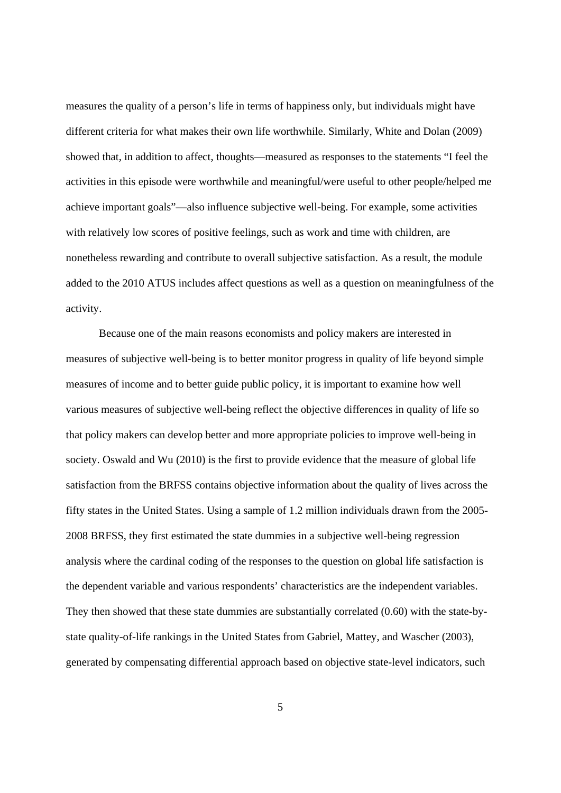measures the quality of a person's life in terms of happiness only, but individuals might have different criteria for what makes their own life worthwhile. Similarly, White and Dolan (2009) showed that, in addition to affect, thoughts—measured as responses to the statements "I feel the activities in this episode were worthwhile and meaningful/were useful to other people/helped me achieve important goals"—also influence subjective well-being. For example, some activities with relatively low scores of positive feelings, such as work and time with children, are nonetheless rewarding and contribute to overall subjective satisfaction. As a result, the module added to the 2010 ATUS includes affect questions as well as a question on meaningfulness of the activity.

Because one of the main reasons economists and policy makers are interested in measures of subjective well-being is to better monitor progress in quality of life beyond simple measures of income and to better guide public policy, it is important to examine how well various measures of subjective well-being reflect the objective differences in quality of life so that policy makers can develop better and more appropriate policies to improve well-being in society. Oswald and Wu (2010) is the first to provide evidence that the measure of global life satisfaction from the BRFSS contains objective information about the quality of lives across the fifty states in the United States. Using a sample of 1.2 million individuals drawn from the 2005- 2008 BRFSS, they first estimated the state dummies in a subjective well-being regression analysis where the cardinal coding of the responses to the question on global life satisfaction is the dependent variable and various respondents' characteristics are the independent variables. They then showed that these state dummies are substantially correlated (0.60) with the state-bystate quality-of-life rankings in the United States from Gabriel, Mattey, and Wascher (2003), generated by compensating differential approach based on objective state-level indicators, such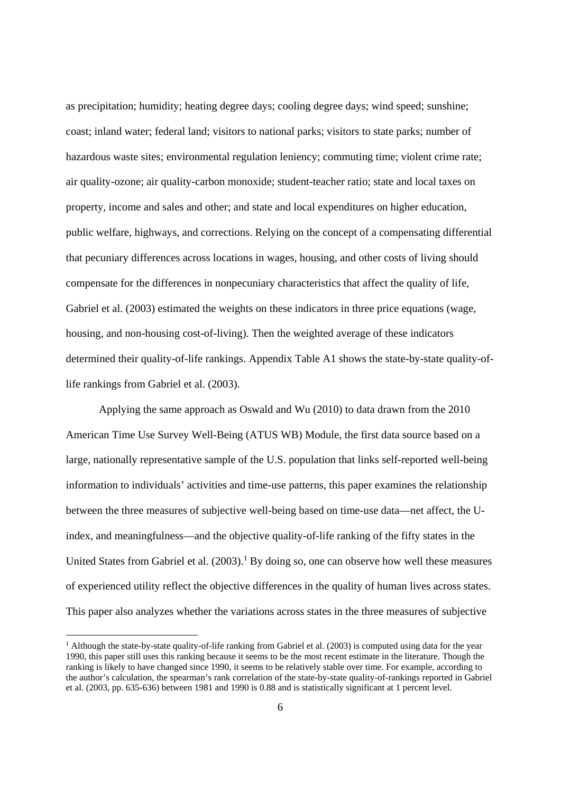as precipitation; humidity; heating degree days; cooling degree days; wind speed; sunshine; coast; inland water; federal land; visitors to national parks; visitors to state parks; number of hazardous waste sites; environmental regulation leniency; commuting time; violent crime rate; air quality-ozone; air quality-carbon monoxide; student-teacher ratio; state and local taxes on property, income and sales and other; and state and local expenditures on higher education, public welfare, highways, and corrections. Relying on the concept of a compensating differential that pecuniary differences across locations in wages, housing, and other costs of living should compensate for the differences in nonpecuniary characteristics that affect the quality of life, Gabriel et al. (2003) estimated the weights on these indicators in three price equations (wage, housing, and non-housing cost-of-living). Then the weighted average of these indicators determined their quality-of-life rankings. Appendix Table A1 shows the state-by-state quality-oflife rankings from Gabriel et al. (2003).

Applying the same approach as Oswald and Wu (2010) to data drawn from the 2010 American Time Use Survey Well-Being (ATUS WB) Module, the first data source based on a large, nationally representative sample of the U.S. population that links self-reported well-being information to individuals' activities and time-use patterns, this paper examines the relationship between the three measures of subjective well-being based on time-use data—net affect, the Uindex, and meaningfulness—and the objective quality-of-life ranking of the fifty states in the United States from Gabriel et al.  $(2003)$ .<sup>1</sup> By doing so, one can observe how well these measures of experienced utility reflect the objective differences in the quality of human lives across states. This paper also analyzes whether the variations across states in the three measures of subjective

<sup>&</sup>lt;sup>1</sup> Although the state-by-state quality-of-life ranking from Gabriel et al. (2003) is computed using data for the year 1990, this paper still uses this ranking because it seems to be the most recent estimate in the literature. Though the ranking is likely to have changed since 1990, it seems to be relatively stable over time. For example, according to the author's calculation, the spearman's rank correlation of the state-by-state quality-of-rankings reported in Gabriel et al. (2003, pp. 635-636) between 1981 and 1990 is 0.88 and is statistically significant at 1 percent level.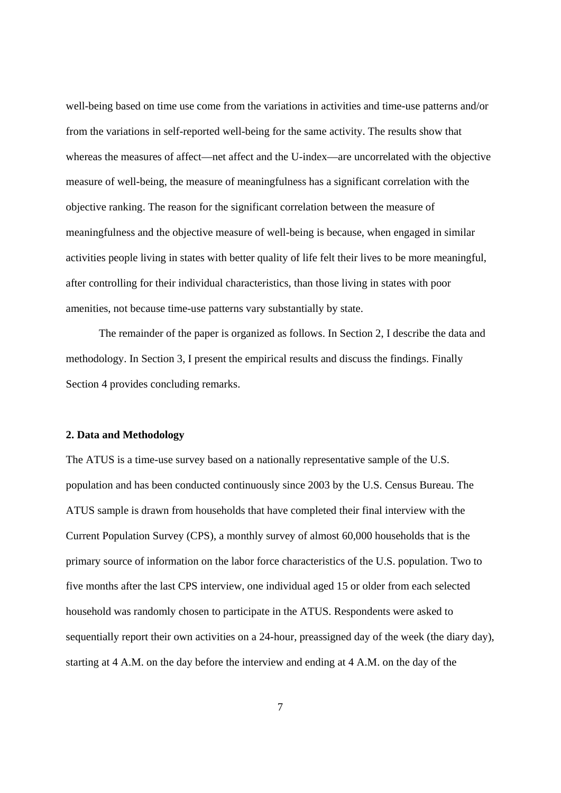well-being based on time use come from the variations in activities and time-use patterns and/or from the variations in self-reported well-being for the same activity. The results show that whereas the measures of affect—net affect and the U-index—are uncorrelated with the objective measure of well-being, the measure of meaningfulness has a significant correlation with the objective ranking. The reason for the significant correlation between the measure of meaningfulness and the objective measure of well-being is because, when engaged in similar activities people living in states with better quality of life felt their lives to be more meaningful, after controlling for their individual characteristics, than those living in states with poor amenities, not because time-use patterns vary substantially by state.

The remainder of the paper is organized as follows. In Section 2, I describe the data and methodology. In Section 3, I present the empirical results and discuss the findings. Finally Section 4 provides concluding remarks.

#### **2. Data and Methodology**

The ATUS is a time-use survey based on a nationally representative sample of the U.S. population and has been conducted continuously since 2003 by the U.S. Census Bureau. The ATUS sample is drawn from households that have completed their final interview with the Current Population Survey (CPS), a monthly survey of almost 60,000 households that is the primary source of information on the labor force characteristics of the U.S. population. Two to five months after the last CPS interview, one individual aged 15 or older from each selected household was randomly chosen to participate in the ATUS. Respondents were asked to sequentially report their own activities on a 24-hour, preassigned day of the week (the diary day), starting at 4 A.M. on the day before the interview and ending at 4 A.M. on the day of the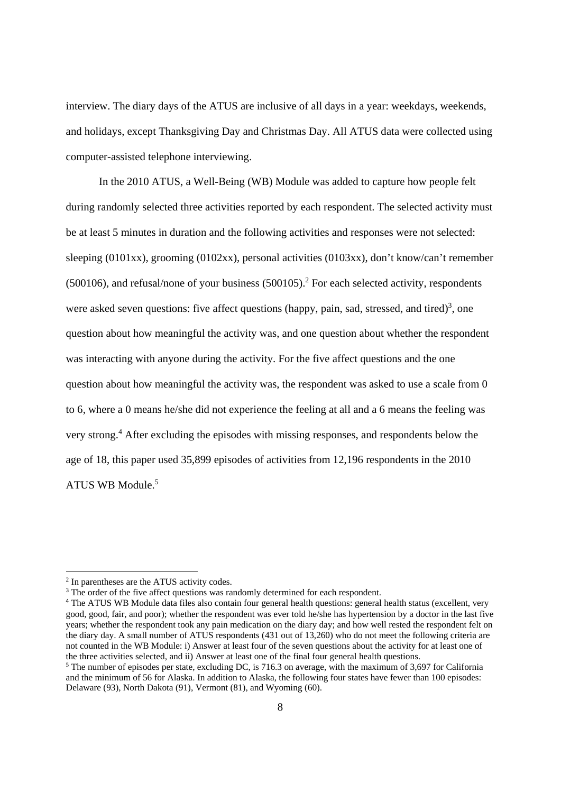interview. The diary days of the ATUS are inclusive of all days in a year: weekdays, weekends, and holidays, except Thanksgiving Day and Christmas Day. All ATUS data were collected using computer-assisted telephone interviewing.

In the 2010 ATUS, a Well-Being (WB) Module was added to capture how people felt during randomly selected three activities reported by each respondent. The selected activity must be at least 5 minutes in duration and the following activities and responses were not selected: sleeping (0101xx), grooming (0102xx), personal activities (0103xx), don't know/can't remember  $(500106)$ , and refusal/none of your business  $(500105)$ .<sup>2</sup> For each selected activity, respondents were asked seven questions: five affect questions (happy, pain, sad, stressed, and tired)<sup>3</sup>, one question about how meaningful the activity was, and one question about whether the respondent was interacting with anyone during the activity. For the five affect questions and the one question about how meaningful the activity was, the respondent was asked to use a scale from 0 to 6, where a 0 means he/she did not experience the feeling at all and a 6 means the feeling was very strong.<sup>4</sup> After excluding the episodes with missing responses, and respondents below the age of 18, this paper used 35,899 episodes of activities from 12,196 respondents in the 2010 ATUS WB Module.5

 $\overline{a}$ 

<sup>2</sup> In parentheses are the ATUS activity codes.

<sup>&</sup>lt;sup>3</sup> The order of the five affect questions was randomly determined for each respondent.

<sup>4</sup> The ATUS WB Module data files also contain four general health questions: general health status (excellent, very good, good, fair, and poor); whether the respondent was ever told he/she has hypertension by a doctor in the last five years; whether the respondent took any pain medication on the diary day; and how well rested the respondent felt on the diary day. A small number of ATUS respondents (431 out of 13,260) who do not meet the following criteria are not counted in the WB Module: i) Answer at least four of the seven questions about the activity for at least one of the three activities selected, and ii) Answer at least one of the final four general health questions.

<sup>&</sup>lt;sup>5</sup> The number of episodes per state, excluding DC, is 716.3 on average, with the maximum of 3,697 for California and the minimum of 56 for Alaska. In addition to Alaska, the following four states have fewer than 100 episodes: Delaware (93), North Dakota (91), Vermont (81), and Wyoming (60).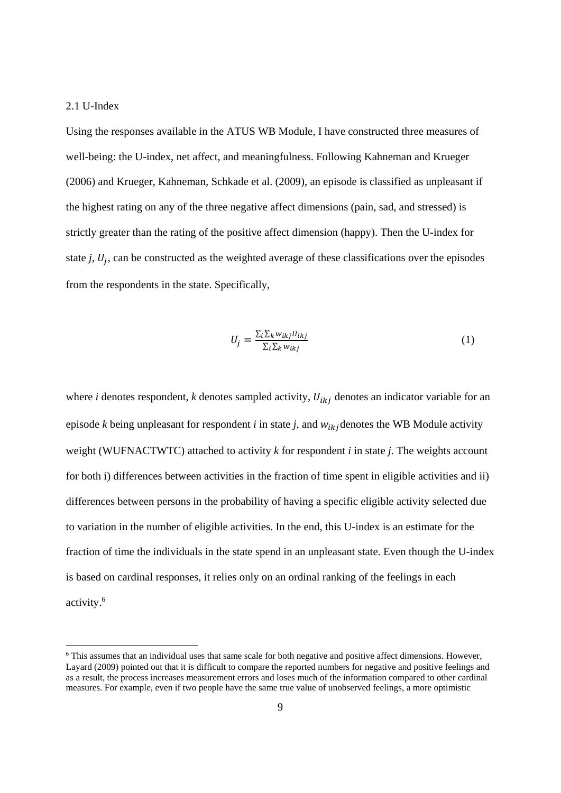#### 2.1 U-Index

-

Using the responses available in the ATUS WB Module, I have constructed three measures of well-being: the U-index, net affect, and meaningfulness. Following Kahneman and Krueger (2006) and Krueger, Kahneman, Schkade et al. (2009), an episode is classified as unpleasant if the highest rating on any of the three negative affect dimensions (pain, sad, and stressed) is strictly greater than the rating of the positive affect dimension (happy). Then the U-index for state  $j$ ,  $U_j$ , can be constructed as the weighted average of these classifications over the episodes from the respondents in the state. Specifically,

$$
U_j = \frac{\sum_i \sum_k w_{ikj} U_{ikj}}{\sum_i \sum_k w_{ikj}}
$$
(1)

where *i* denotes respondent, *k* denotes sampled activity,  $U_{ikj}$  denotes an indicator variable for an episode *k* being unpleasant for respondent *i* in state *j*, and  $w_{ik}$  denotes the WB Module activity weight (WUFNACTWTC) attached to activity *k* for respondent *i* in state *j*. The weights account for both i) differences between activities in the fraction of time spent in eligible activities and ii) differences between persons in the probability of having a specific eligible activity selected due to variation in the number of eligible activities. In the end, this U-index is an estimate for the fraction of time the individuals in the state spend in an unpleasant state. Even though the U-index is based on cardinal responses, it relies only on an ordinal ranking of the feelings in each activity.6

<sup>&</sup>lt;sup>6</sup> This assumes that an individual uses that same scale for both negative and positive affect dimensions. However, Layard (2009) pointed out that it is difficult to compare the reported numbers for negative and positive feelings and as a result, the process increases measurement errors and loses much of the information compared to other cardinal measures. For example, even if two people have the same true value of unobserved feelings, a more optimistic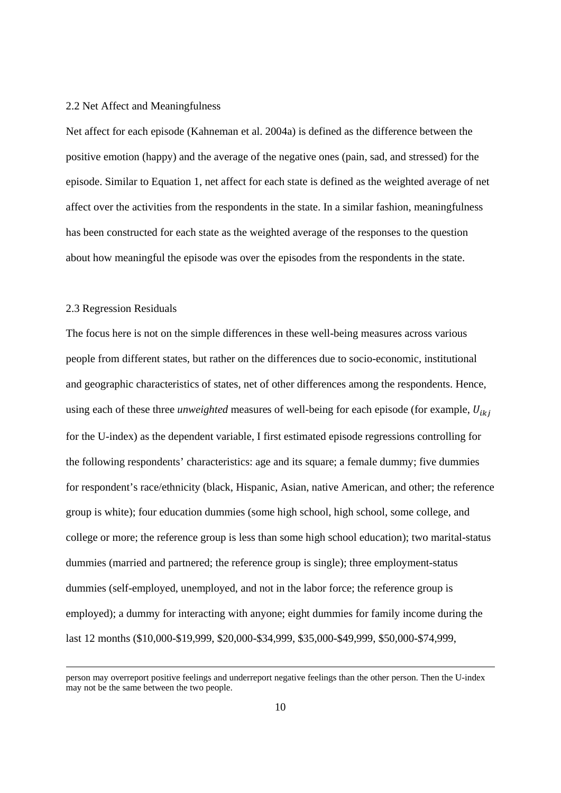#### 2.2 Net Affect and Meaningfulness

Net affect for each episode (Kahneman et al. 2004a) is defined as the difference between the positive emotion (happy) and the average of the negative ones (pain, sad, and stressed) for the episode. Similar to Equation 1, net affect for each state is defined as the weighted average of net affect over the activities from the respondents in the state. In a similar fashion, meaningfulness has been constructed for each state as the weighted average of the responses to the question about how meaningful the episode was over the episodes from the respondents in the state.

#### 2.3 Regression Residuals

The focus here is not on the simple differences in these well-being measures across various people from different states, but rather on the differences due to socio-economic, institutional and geographic characteristics of states, net of other differences among the respondents. Hence, using each of these three *unweighted* measures of well-being for each episode (for example,  $U_{ikj}$ for the U-index) as the dependent variable, I first estimated episode regressions controlling for the following respondents' characteristics: age and its square; a female dummy; five dummies for respondent's race/ethnicity (black, Hispanic, Asian, native American, and other; the reference group is white); four education dummies (some high school, high school, some college, and college or more; the reference group is less than some high school education); two marital-status dummies (married and partnered; the reference group is single); three employment-status dummies (self-employed, unemployed, and not in the labor force; the reference group is employed); a dummy for interacting with anyone; eight dummies for family income during the last 12 months (\$10,000-\$19,999, \$20,000-\$34,999, \$35,000-\$49,999, \$50,000-\$74,999,

person may overreport positive feelings and underreport negative feelings than the other person. Then the U-index may not be the same between the two people.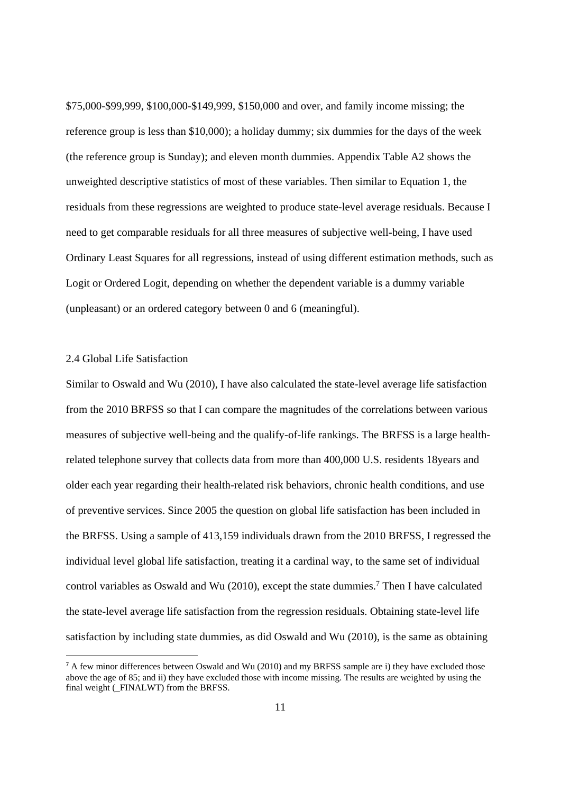\$75,000-\$99,999, \$100,000-\$149,999, \$150,000 and over, and family income missing; the reference group is less than \$10,000); a holiday dummy; six dummies for the days of the week (the reference group is Sunday); and eleven month dummies. Appendix Table A2 shows the unweighted descriptive statistics of most of these variables. Then similar to Equation 1, the residuals from these regressions are weighted to produce state-level average residuals. Because I need to get comparable residuals for all three measures of subjective well-being, I have used Ordinary Least Squares for all regressions, instead of using different estimation methods, such as Logit or Ordered Logit, depending on whether the dependent variable is a dummy variable (unpleasant) or an ordered category between 0 and 6 (meaningful).

#### 2.4 Global Life Satisfaction

-

Similar to Oswald and Wu (2010), I have also calculated the state-level average life satisfaction from the 2010 BRFSS so that I can compare the magnitudes of the correlations between various measures of subjective well-being and the qualify-of-life rankings. The BRFSS is a large healthrelated telephone survey that collects data from more than 400,000 U.S. residents 18years and older each year regarding their health-related risk behaviors, chronic health conditions, and use of preventive services. Since 2005 the question on global life satisfaction has been included in the BRFSS. Using a sample of 413,159 individuals drawn from the 2010 BRFSS, I regressed the individual level global life satisfaction, treating it a cardinal way, to the same set of individual control variables as Oswald and Wu  $(2010)$ , except the state dummies.<sup>7</sup> Then I have calculated the state-level average life satisfaction from the regression residuals. Obtaining state-level life satisfaction by including state dummies, as did Oswald and Wu (2010), is the same as obtaining

<sup>&</sup>lt;sup>7</sup> A few minor differences between Oswald and Wu (2010) and my BRFSS sample are i) they have excluded those above the age of 85; and ii) they have excluded those with income missing. The results are weighted by using the final weight ( $\overline{FINALWT}$ ) from the BRFSS.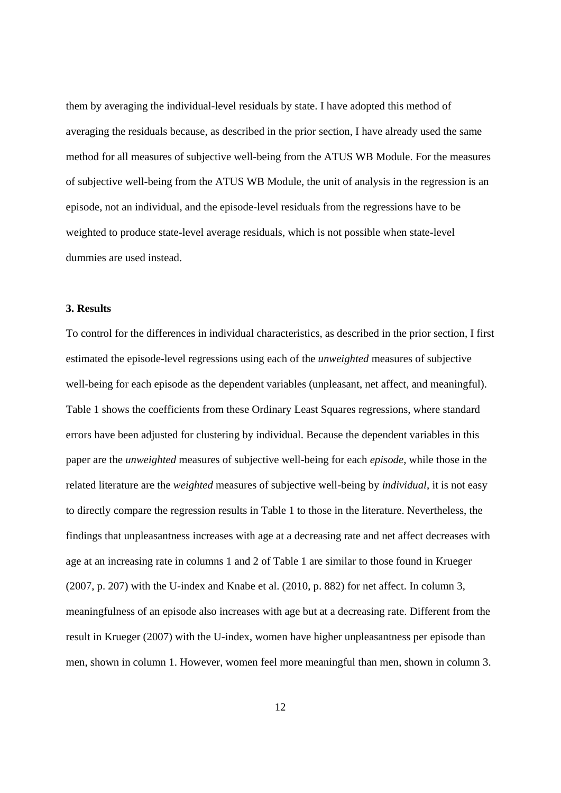them by averaging the individual-level residuals by state. I have adopted this method of averaging the residuals because, as described in the prior section, I have already used the same method for all measures of subjective well-being from the ATUS WB Module. For the measures of subjective well-being from the ATUS WB Module, the unit of analysis in the regression is an episode, not an individual, and the episode-level residuals from the regressions have to be weighted to produce state-level average residuals, which is not possible when state-level dummies are used instead.

#### **3. Results**

To control for the differences in individual characteristics, as described in the prior section, I first estimated the episode-level regressions using each of the *unweighted* measures of subjective well-being for each episode as the dependent variables (unpleasant, net affect, and meaningful). Table 1 shows the coefficients from these Ordinary Least Squares regressions, where standard errors have been adjusted for clustering by individual. Because the dependent variables in this paper are the *unweighted* measures of subjective well-being for each *episode*, while those in the related literature are the *weighted* measures of subjective well-being by *individual*, it is not easy to directly compare the regression results in Table 1 to those in the literature. Nevertheless, the findings that unpleasantness increases with age at a decreasing rate and net affect decreases with age at an increasing rate in columns 1 and 2 of Table 1 are similar to those found in Krueger (2007, p. 207) with the U-index and Knabe et al. (2010, p. 882) for net affect. In column 3, meaningfulness of an episode also increases with age but at a decreasing rate. Different from the result in Krueger (2007) with the U-index, women have higher unpleasantness per episode than men, shown in column 1. However, women feel more meaningful than men, shown in column 3.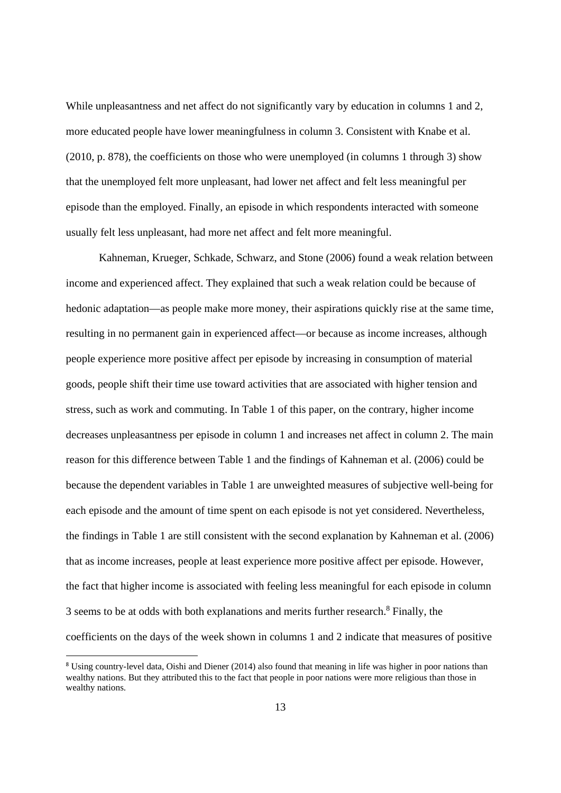While unpleasantness and net affect do not significantly vary by education in columns 1 and 2, more educated people have lower meaningfulness in column 3. Consistent with Knabe et al. (2010, p. 878), the coefficients on those who were unemployed (in columns 1 through 3) show that the unemployed felt more unpleasant, had lower net affect and felt less meaningful per episode than the employed. Finally, an episode in which respondents interacted with someone usually felt less unpleasant, had more net affect and felt more meaningful.

Kahneman, Krueger, Schkade, Schwarz, and Stone (2006) found a weak relation between income and experienced affect. They explained that such a weak relation could be because of hedonic adaptation—as people make more money, their aspirations quickly rise at the same time, resulting in no permanent gain in experienced affect—or because as income increases, although people experience more positive affect per episode by increasing in consumption of material goods, people shift their time use toward activities that are associated with higher tension and stress, such as work and commuting. In Table 1 of this paper, on the contrary, higher income decreases unpleasantness per episode in column 1 and increases net affect in column 2. The main reason for this difference between Table 1 and the findings of Kahneman et al. (2006) could be because the dependent variables in Table 1 are unweighted measures of subjective well-being for each episode and the amount of time spent on each episode is not yet considered. Nevertheless, the findings in Table 1 are still consistent with the second explanation by Kahneman et al. (2006) that as income increases, people at least experience more positive affect per episode. However, the fact that higher income is associated with feeling less meaningful for each episode in column 3 seems to be at odds with both explanations and merits further research.<sup>8</sup> Finally, the coefficients on the days of the week shown in columns 1 and 2 indicate that measures of positive

<sup>&</sup>lt;sup>8</sup> Using country-level data, Oishi and Diener (2014) also found that meaning in life was higher in poor nations than wealthy nations. But they attributed this to the fact that people in poor nations were more religious than those in wealthy nations.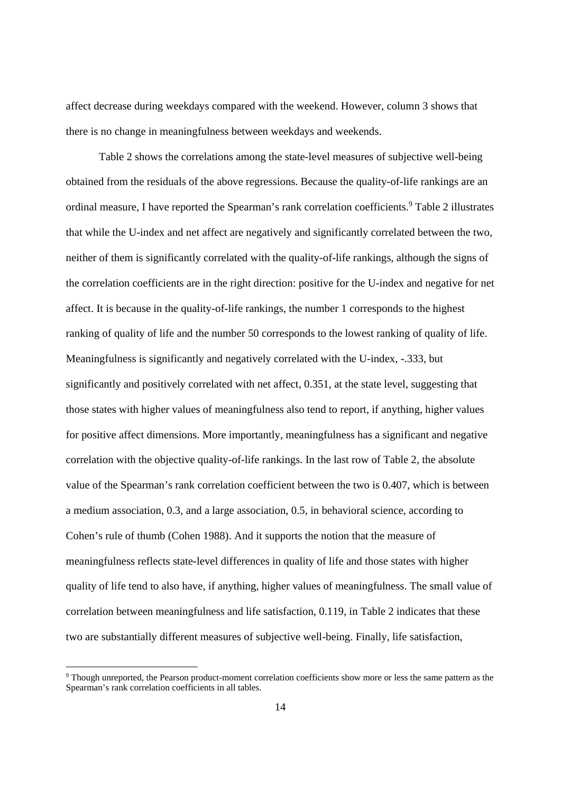affect decrease during weekdays compared with the weekend. However, column 3 shows that there is no change in meaningfulness between weekdays and weekends.

Table 2 shows the correlations among the state-level measures of subjective well-being obtained from the residuals of the above regressions. Because the quality-of-life rankings are an ordinal measure, I have reported the Spearman's rank correlation coefficients.<sup>9</sup> Table 2 illustrates that while the U-index and net affect are negatively and significantly correlated between the two, neither of them is significantly correlated with the quality-of-life rankings, although the signs of the correlation coefficients are in the right direction: positive for the U-index and negative for net affect. It is because in the quality-of-life rankings, the number 1 corresponds to the highest ranking of quality of life and the number 50 corresponds to the lowest ranking of quality of life. Meaningfulness is significantly and negatively correlated with the U-index, -.333, but significantly and positively correlated with net affect, 0.351, at the state level, suggesting that those states with higher values of meaningfulness also tend to report, if anything, higher values for positive affect dimensions. More importantly, meaningfulness has a significant and negative correlation with the objective quality-of-life rankings. In the last row of Table 2, the absolute value of the Spearman's rank correlation coefficient between the two is 0.407, which is between a medium association, 0.3, and a large association, 0.5, in behavioral science, according to Cohen's rule of thumb (Cohen 1988). And it supports the notion that the measure of meaningfulness reflects state-level differences in quality of life and those states with higher quality of life tend to also have, if anything, higher values of meaningfulness. The small value of correlation between meaningfulness and life satisfaction, 0.119, in Table 2 indicates that these two are substantially different measures of subjective well-being. Finally, life satisfaction,

<sup>9</sup> Though unreported, the Pearson product-moment correlation coefficients show more or less the same pattern as the Spearman's rank correlation coefficients in all tables.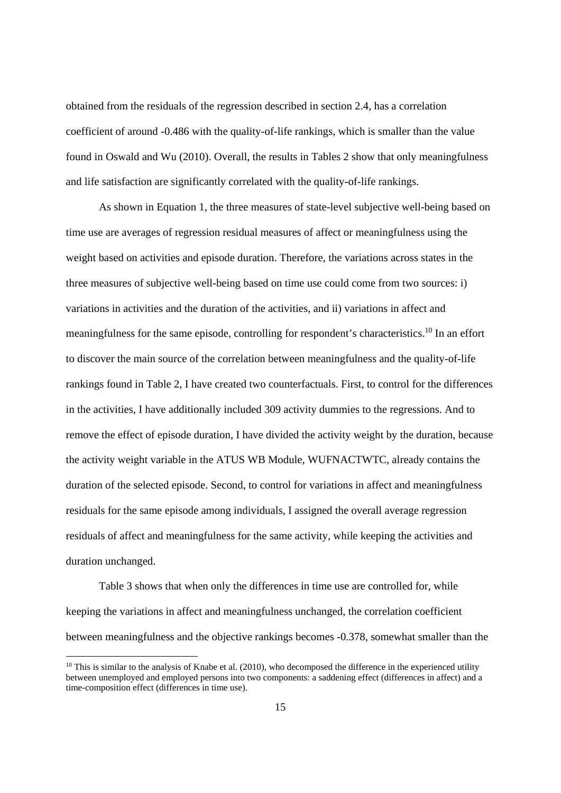obtained from the residuals of the regression described in section 2.4, has a correlation coefficient of around -0.486 with the quality-of-life rankings, which is smaller than the value found in Oswald and Wu (2010). Overall, the results in Tables 2 show that only meaningfulness and life satisfaction are significantly correlated with the quality-of-life rankings.

As shown in Equation 1, the three measures of state-level subjective well-being based on time use are averages of regression residual measures of affect or meaningfulness using the weight based on activities and episode duration. Therefore, the variations across states in the three measures of subjective well-being based on time use could come from two sources: i) variations in activities and the duration of the activities, and ii) variations in affect and meaningfulness for the same episode, controlling for respondent's characteristics.<sup>10</sup> In an effort to discover the main source of the correlation between meaningfulness and the quality-of-life rankings found in Table 2, I have created two counterfactuals. First, to control for the differences in the activities, I have additionally included 309 activity dummies to the regressions. And to remove the effect of episode duration, I have divided the activity weight by the duration, because the activity weight variable in the ATUS WB Module, WUFNACTWTC, already contains the duration of the selected episode. Second, to control for variations in affect and meaningfulness residuals for the same episode among individuals, I assigned the overall average regression residuals of affect and meaningfulness for the same activity, while keeping the activities and duration unchanged.

Table 3 shows that when only the differences in time use are controlled for, while keeping the variations in affect and meaningfulness unchanged, the correlation coefficient between meaningfulness and the objective rankings becomes -0.378, somewhat smaller than the

 $10$  This is similar to the analysis of Knabe et al. (2010), who decomposed the difference in the experienced utility between unemployed and employed persons into two components: a saddening effect (differences in affect) and a time-composition effect (differences in time use).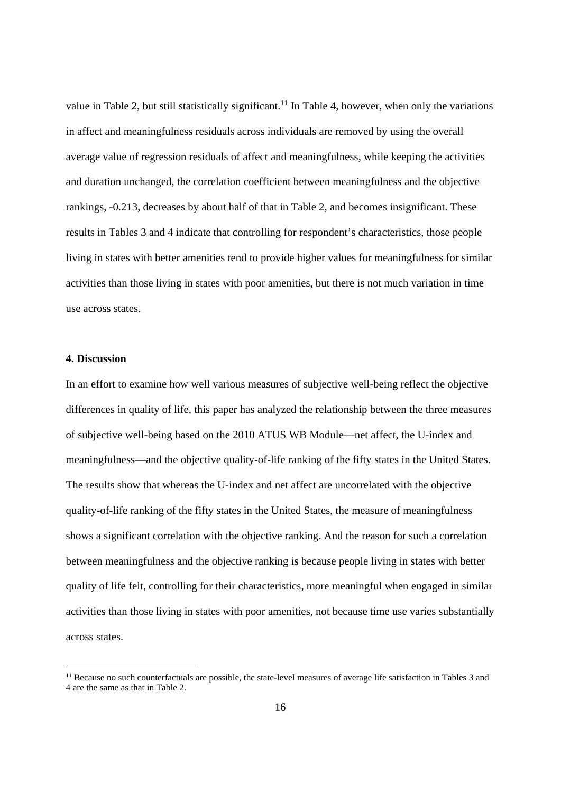value in Table 2, but still statistically significant.<sup>11</sup> In Table 4, however, when only the variations in affect and meaningfulness residuals across individuals are removed by using the overall average value of regression residuals of affect and meaningfulness, while keeping the activities and duration unchanged, the correlation coefficient between meaningfulness and the objective rankings, -0.213, decreases by about half of that in Table 2, and becomes insignificant. These results in Tables 3 and 4 indicate that controlling for respondent's characteristics, those people living in states with better amenities tend to provide higher values for meaningfulness for similar activities than those living in states with poor amenities, but there is not much variation in time use across states.

#### **4. Discussion**

-

In an effort to examine how well various measures of subjective well-being reflect the objective differences in quality of life, this paper has analyzed the relationship between the three measures of subjective well-being based on the 2010 ATUS WB Module—net affect, the U-index and meaningfulness—and the objective quality-of-life ranking of the fifty states in the United States. The results show that whereas the U-index and net affect are uncorrelated with the objective quality-of-life ranking of the fifty states in the United States, the measure of meaningfulness shows a significant correlation with the objective ranking. And the reason for such a correlation between meaningfulness and the objective ranking is because people living in states with better quality of life felt, controlling for their characteristics, more meaningful when engaged in similar activities than those living in states with poor amenities, not because time use varies substantially across states.

<sup>&</sup>lt;sup>11</sup> Because no such counterfactuals are possible, the state-level measures of average life satisfaction in Tables 3 and 4 are the same as that in Table 2.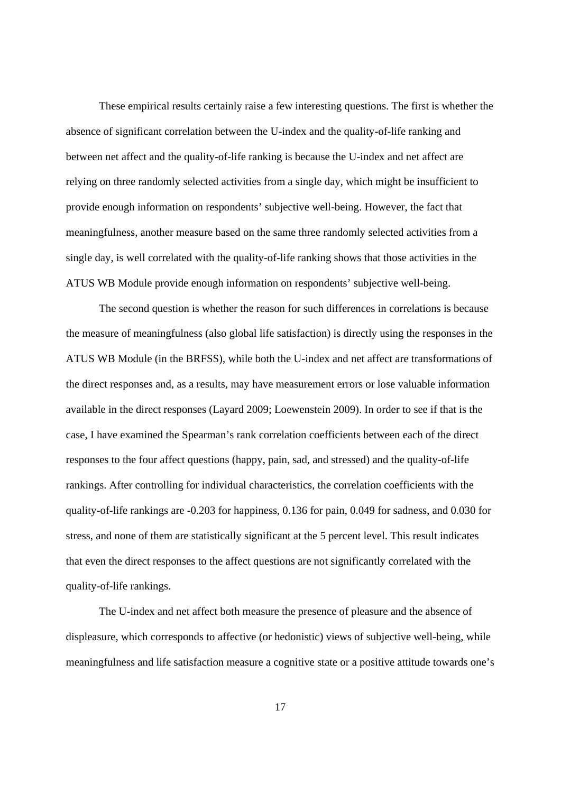These empirical results certainly raise a few interesting questions. The first is whether the absence of significant correlation between the U-index and the quality-of-life ranking and between net affect and the quality-of-life ranking is because the U-index and net affect are relying on three randomly selected activities from a single day, which might be insufficient to provide enough information on respondents' subjective well-being. However, the fact that meaningfulness, another measure based on the same three randomly selected activities from a single day, is well correlated with the quality-of-life ranking shows that those activities in the ATUS WB Module provide enough information on respondents' subjective well-being.

The second question is whether the reason for such differences in correlations is because the measure of meaningfulness (also global life satisfaction) is directly using the responses in the ATUS WB Module (in the BRFSS), while both the U-index and net affect are transformations of the direct responses and, as a results, may have measurement errors or lose valuable information available in the direct responses (Layard 2009; Loewenstein 2009). In order to see if that is the case, I have examined the Spearman's rank correlation coefficients between each of the direct responses to the four affect questions (happy, pain, sad, and stressed) and the quality-of-life rankings. After controlling for individual characteristics, the correlation coefficients with the quality-of-life rankings are -0.203 for happiness, 0.136 for pain, 0.049 for sadness, and 0.030 for stress, and none of them are statistically significant at the 5 percent level. This result indicates that even the direct responses to the affect questions are not significantly correlated with the quality-of-life rankings.

The U-index and net affect both measure the presence of pleasure and the absence of displeasure, which corresponds to affective (or hedonistic) views of subjective well-being, while meaningfulness and life satisfaction measure a cognitive state or a positive attitude towards one's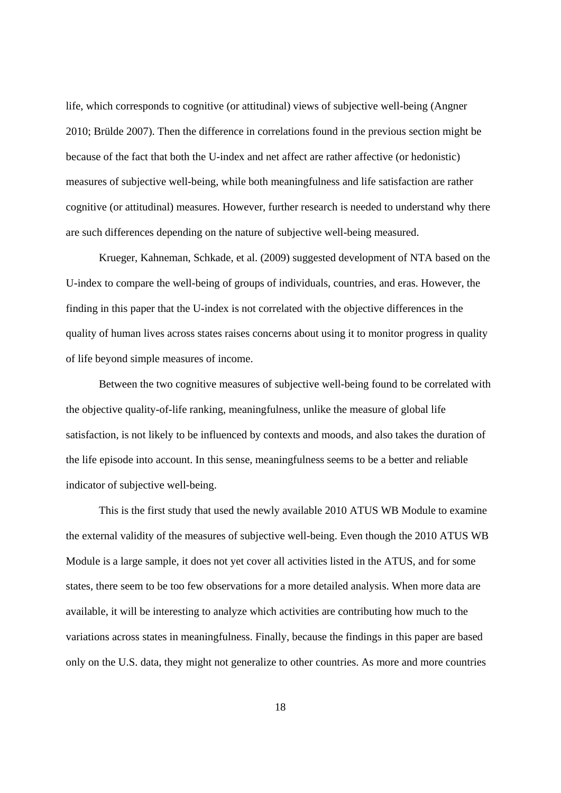life, which corresponds to cognitive (or attitudinal) views of subjective well-being (Angner 2010; Brülde 2007). Then the difference in correlations found in the previous section might be because of the fact that both the U-index and net affect are rather affective (or hedonistic) measures of subjective well-being, while both meaningfulness and life satisfaction are rather cognitive (or attitudinal) measures. However, further research is needed to understand why there are such differences depending on the nature of subjective well-being measured.

Krueger, Kahneman, Schkade, et al. (2009) suggested development of NTA based on the U-index to compare the well-being of groups of individuals, countries, and eras. However, the finding in this paper that the U-index is not correlated with the objective differences in the quality of human lives across states raises concerns about using it to monitor progress in quality of life beyond simple measures of income.

Between the two cognitive measures of subjective well-being found to be correlated with the objective quality-of-life ranking, meaningfulness, unlike the measure of global life satisfaction, is not likely to be influenced by contexts and moods, and also takes the duration of the life episode into account. In this sense, meaningfulness seems to be a better and reliable indicator of subjective well-being.

 This is the first study that used the newly available 2010 ATUS WB Module to examine the external validity of the measures of subjective well-being. Even though the 2010 ATUS WB Module is a large sample, it does not yet cover all activities listed in the ATUS, and for some states, there seem to be too few observations for a more detailed analysis. When more data are available, it will be interesting to analyze which activities are contributing how much to the variations across states in meaningfulness. Finally, because the findings in this paper are based only on the U.S. data, they might not generalize to other countries. As more and more countries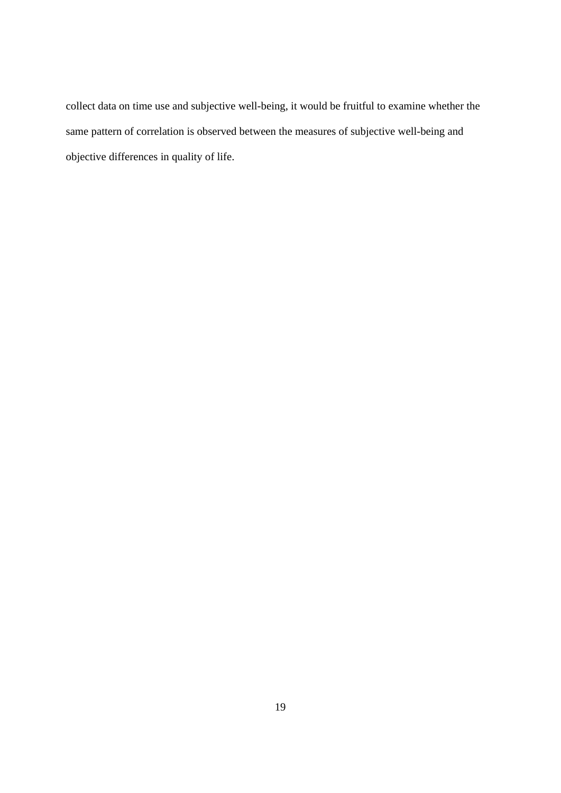collect data on time use and subjective well-being, it would be fruitful to examine whether the same pattern of correlation is observed between the measures of subjective well-being and objective differences in quality of life.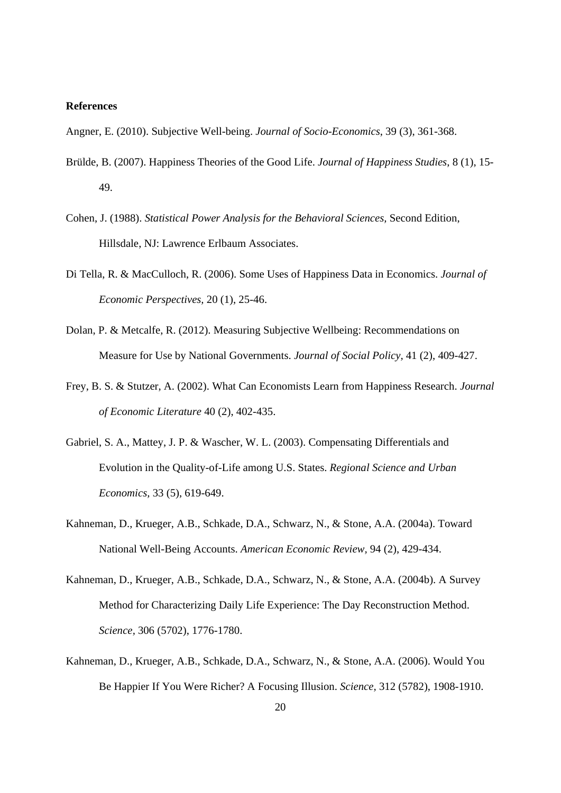#### **References**

Angner, E. (2010). Subjective Well-being. *Journal of Socio-Economics*, 39 (3), 361-368.

- Brülde, B. (2007). Happiness Theories of the Good Life. *Journal of Happiness Studies*, 8 (1), 15- 49.
- Cohen, J. (1988). *Statistical Power Analysis for the Behavioral Sciences,* Second Edition, Hillsdale, NJ: Lawrence Erlbaum Associates.
- Di Tella, R. & MacCulloch, R. (2006). Some Uses of Happiness Data in Economics. *Journal of Economic Perspectives,* 20 (1), 25-46.
- Dolan, P. & Metcalfe, R. (2012). Measuring Subjective Wellbeing: Recommendations on Measure for Use by National Governments. *Journal of Social Policy,* 41 (2), 409-427.
- Frey, B. S. & Stutzer, A. (2002). What Can Economists Learn from Happiness Research. *Journal of Economic Literature* 40 (2), 402-435.
- Gabriel, S. A., Mattey, J. P. & Wascher, W. L. (2003). Compensating Differentials and Evolution in the Quality-of-Life among U.S. States. *Regional Science and Urban Economics,* 33 (5), 619-649.
- Kahneman, D., Krueger, A.B., Schkade, D.A., Schwarz, N., & Stone, A.A. (2004a). Toward National Well-Being Accounts. *American Economic Review,* 94 (2), 429-434.
- Kahneman, D., Krueger, A.B., Schkade, D.A., Schwarz, N., & Stone, A.A. (2004b). A Survey Method for Characterizing Daily Life Experience: The Day Reconstruction Method. *Science,* 306 (5702), 1776-1780.
- Kahneman, D., Krueger, A.B., Schkade, D.A., Schwarz, N., & Stone, A.A. (2006). Would You Be Happier If You Were Richer? A Focusing Illusion. *Science,* 312 (5782), 1908-1910.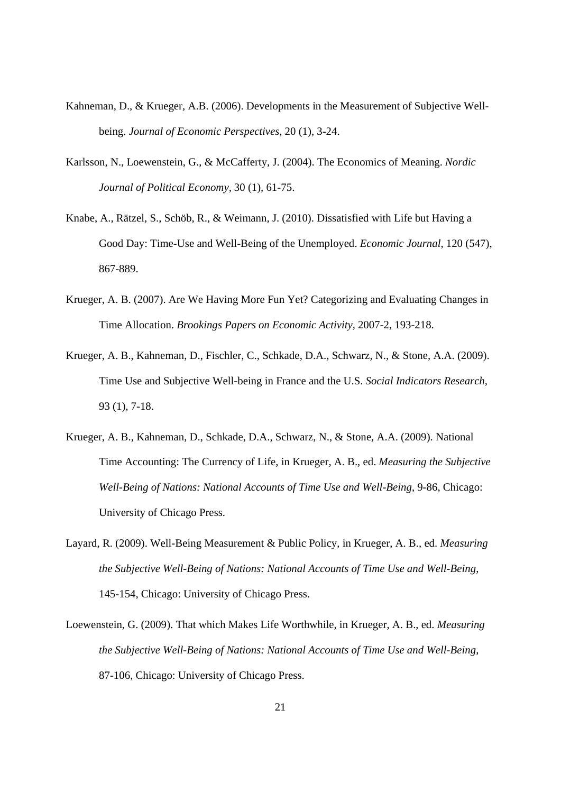- Kahneman, D., & Krueger, A.B. (2006). Developments in the Measurement of Subjective Wellbeing. *Journal of Economic Perspectives,* 20 (1), 3-24.
- Karlsson, N., Loewenstein, G., & McCafferty, J. (2004). The Economics of Meaning. *Nordic Journal of Political Economy,* 30 (1), 61-75.
- Knabe, A., Rätzel, S., Schöb, R., & Weimann, J. (2010). Dissatisfied with Life but Having a Good Day: Time-Use and Well-Being of the Unemployed. *Economic Journal,* 120 (547), 867-889.
- Krueger, A. B. (2007). Are We Having More Fun Yet? Categorizing and Evaluating Changes in Time Allocation. *Brookings Papers on Economic Activity,* 2007-2, 193-218.
- Krueger, A. B., Kahneman, D., Fischler, C., Schkade, D.A., Schwarz, N., & Stone, A.A. (2009). Time Use and Subjective Well-being in France and the U.S. *Social Indicators Research,* 93 (1), 7-18.
- Krueger, A. B., Kahneman, D., Schkade, D.A., Schwarz, N., & Stone, A.A. (2009). National Time Accounting: The Currency of Life, in Krueger, A. B., ed. *Measuring the Subjective Well-Being of Nations: National Accounts of Time Use and Well-Being*, 9-86, Chicago: University of Chicago Press.
- Layard, R. (2009). Well-Being Measurement & Public Policy, in Krueger, A. B., ed. *Measuring the Subjective Well-Being of Nations: National Accounts of Time Use and Well-Being*, 145-154, Chicago: University of Chicago Press.
- Loewenstein, G. (2009). That which Makes Life Worthwhile, in Krueger, A. B., ed. *Measuring the Subjective Well-Being of Nations: National Accounts of Time Use and Well-Being*, 87-106, Chicago: University of Chicago Press.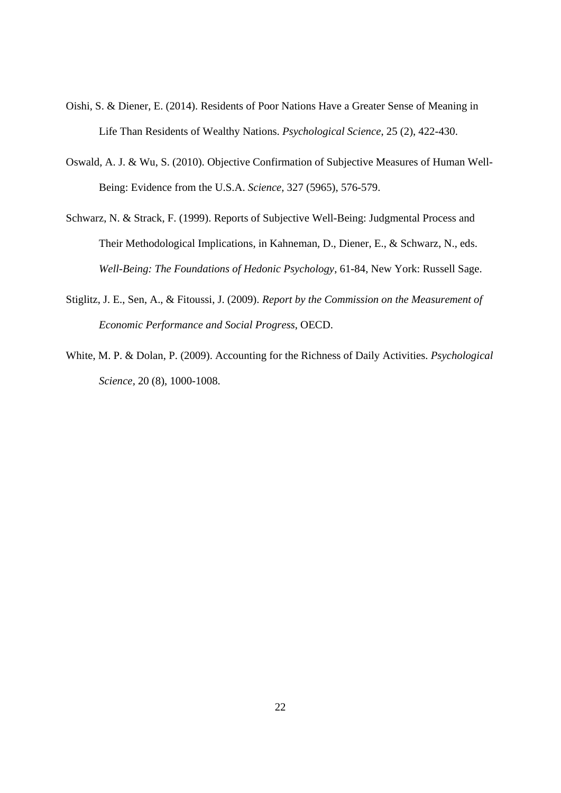- Oishi, S. & Diener, E. (2014). Residents of Poor Nations Have a Greater Sense of Meaning in Life Than Residents of Wealthy Nations. *Psychological Science*, 25 (2), 422-430.
- Oswald, A. J. & Wu, S. (2010). Objective Confirmation of Subjective Measures of Human Well-Being: Evidence from the U.S.A. *Science,* 327 (5965), 576-579.
- Schwarz, N. & Strack, F. (1999). Reports of Subjective Well-Being: Judgmental Process and Their Methodological Implications, in Kahneman, D., Diener, E., & Schwarz, N., eds. *Well-Being: The Foundations of Hedonic Psychology*, 61-84, New York: Russell Sage.
- Stiglitz, J. E., Sen, A., & Fitoussi, J. (2009). *Report by the Commission on the Measurement of Economic Performance and Social Progress*, OECD.
- White, M. P. & Dolan, P. (2009). Accounting for the Richness of Daily Activities. *Psychological Science,* 20 (8), 1000-1008.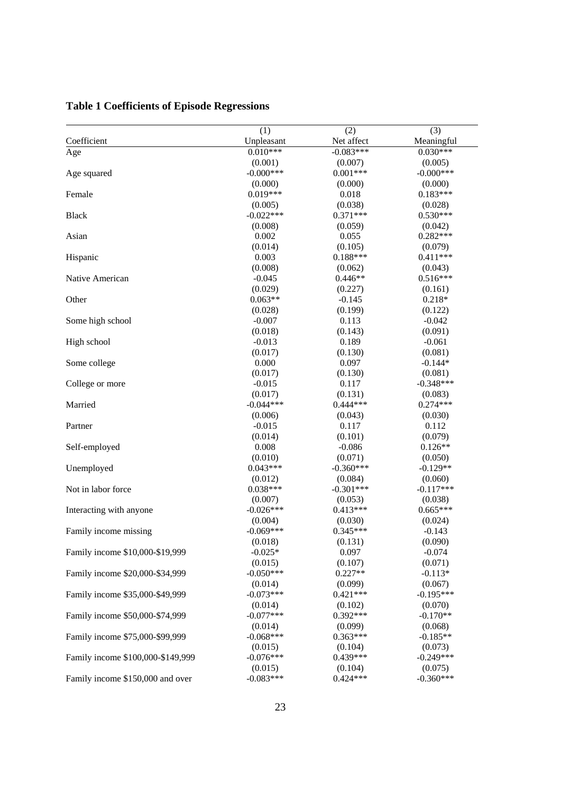|                                   | (1)                   | (2)         | (3)         |
|-----------------------------------|-----------------------|-------------|-------------|
| Coefficient                       | Unpleasant            | Net affect  | Meaningful  |
| Age                               | $0.010***$            | $-0.083***$ | $0.030***$  |
|                                   | (0.001)               | (0.007)     | (0.005)     |
| Age squared                       | $-0.000***$           | $0.001***$  | $-0.000***$ |
|                                   | (0.000)               | (0.000)     | (0.000)     |
| Female                            | $0.019***$            | 0.018       | $0.183***$  |
|                                   | (0.005)               | (0.038)     | (0.028)     |
| <b>Black</b>                      | $-0.022***$           | $0.371***$  | $0.530***$  |
|                                   | (0.008)               | (0.059)     | (0.042)     |
| Asian                             | 0.002                 | 0.055       | $0.282***$  |
|                                   | (0.014)               | (0.105)     | (0.079)     |
| Hispanic                          | 0.003                 | $0.188***$  | $0.411***$  |
|                                   | (0.008)               | (0.062)     | (0.043)     |
| Native American                   | $-0.045$              | $0.446**$   | $0.516***$  |
|                                   | (0.029)               | (0.227)     | (0.161)     |
| Other                             | $0.063**$             | $-0.145$    | $0.218*$    |
|                                   | (0.028)               | (0.199)     | (0.122)     |
| Some high school                  | $-0.007$              | 0.113       | $-0.042$    |
|                                   | (0.018)               | (0.143)     | (0.091)     |
| High school                       | $-0.013$              | 0.189       | $-0.061$    |
|                                   | (0.017)               | (0.130)     | (0.081)     |
| Some college                      | 0.000                 | 0.097       | $-0.144*$   |
|                                   | (0.017)               | (0.130)     | (0.081)     |
| College or more                   | $-0.015$              | 0.117       | $-0.348***$ |
|                                   | (0.017)               | (0.131)     | (0.083)     |
| Married                           | $-0.044***$           | $0.444***$  | $0.274***$  |
|                                   | (0.006)               | (0.043)     | (0.030)     |
| Partner                           | $-0.015$              | 0.117       | 0.112       |
|                                   | (0.014)               | (0.101)     | (0.079)     |
| Self-employed                     | 0.008                 | $-0.086$    | $0.126**$   |
|                                   | (0.010)               | (0.071)     | (0.050)     |
|                                   | $0.043***$            | $-0.360***$ | $-0.129**$  |
| Unemployed                        |                       |             |             |
|                                   | (0.012)<br>$0.038***$ | (0.084)     | (0.060)     |
| Not in labor force                |                       | $-0.301***$ | $-0.117***$ |
|                                   | (0.007)               | (0.053)     | (0.038)     |
| Interacting with anyone           | $-0.026***$           | $0.413***$  | $0.665***$  |
|                                   | (0.004)               | (0.030)     | (0.024)     |
| Family income missing             | $-0.069***$           | $0.345***$  | $-0.143$    |
|                                   | (0.018)               | (0.131)     | (0.090)     |
| Family income \$10,000-\$19,999   | $-0.025*$             | 0.097       | $-0.074$    |
|                                   | (0.015)               | (0.107)     | (0.071)     |
| Family income \$20,000-\$34,999   | $-0.050***$           | $0.227**$   | $-0.113*$   |
|                                   | (0.014)               | (0.099)     | (0.067)     |
| Family income \$35,000-\$49,999   | $-0.073***$           | $0.421***$  | $-0.195***$ |
|                                   | (0.014)               | (0.102)     | (0.070)     |
| Family income \$50,000-\$74,999   | $-0.077***$           | $0.392***$  | $-0.170**$  |
|                                   | (0.014)               | (0.099)     | (0.068)     |
| Family income \$75,000-\$99,999   | $-0.068***$           | $0.363***$  | $-0.185**$  |
|                                   | (0.015)               | (0.104)     | (0.073)     |
| Family income \$100,000-\$149,999 | $-0.076***$           | $0.439***$  | $-0.249***$ |
|                                   | (0.015)               | (0.104)     | (0.075)     |
| Family income \$150,000 and over  | $-0.083***$           | $0.424***$  | $-0.360***$ |

# **Table 1 Coefficients of Episode Regressions**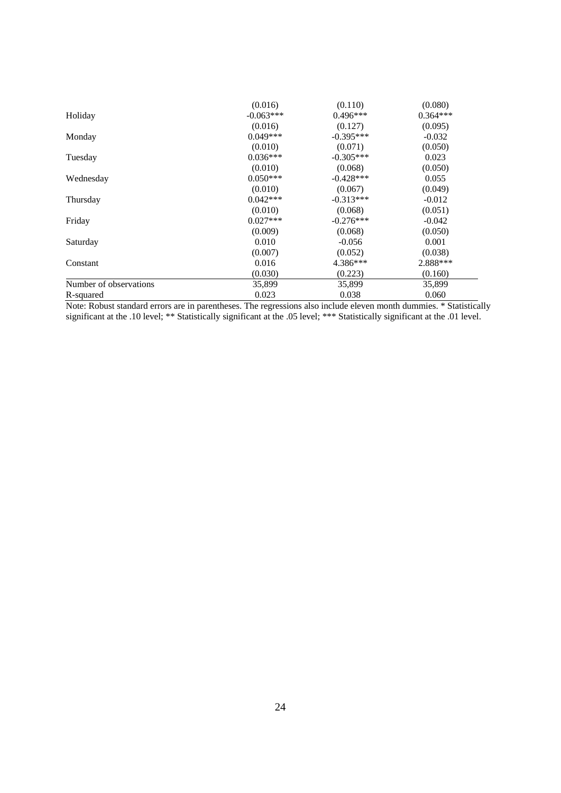|                        | (0.016)     | (0.110)     | (0.080)    |
|------------------------|-------------|-------------|------------|
| Holiday                | $-0.063***$ | $0.496***$  | $0.364***$ |
|                        | (0.016)     | (0.127)     | (0.095)    |
| Monday                 | $0.049***$  | $-0.395***$ | $-0.032$   |
|                        | (0.010)     | (0.071)     | (0.050)    |
| Tuesday                | $0.036***$  | $-0.305***$ | 0.023      |
|                        | (0.010)     | (0.068)     | (0.050)    |
| Wednesday              | $0.050***$  | $-0.428***$ | 0.055      |
|                        | (0.010)     | (0.067)     | (0.049)    |
| Thursday               | $0.042***$  | $-0.313***$ | $-0.012$   |
|                        | (0.010)     | (0.068)     | (0.051)    |
| Friday                 | $0.027***$  | $-0.276***$ | $-0.042$   |
|                        | (0.009)     | (0.068)     | (0.050)    |
| Saturday               | 0.010       | $-0.056$    | 0.001      |
|                        | (0.007)     | (0.052)     | (0.038)    |
| Constant               | 0.016       | 4.386***    | 2.888***   |
|                        | (0.030)     | (0.223)     | (0.160)    |
| Number of observations | 35,899      | 35,899      | 35,899     |
| R-squared              | 0.023       | 0.038       | 0.060      |

Note: Robust standard errors are in parentheses. The regressions also include eleven month dummies. \* Statistically significant at the .10 level; \*\* Statistically significant at the .05 level; \*\*\* Statistically significant at the .01 level.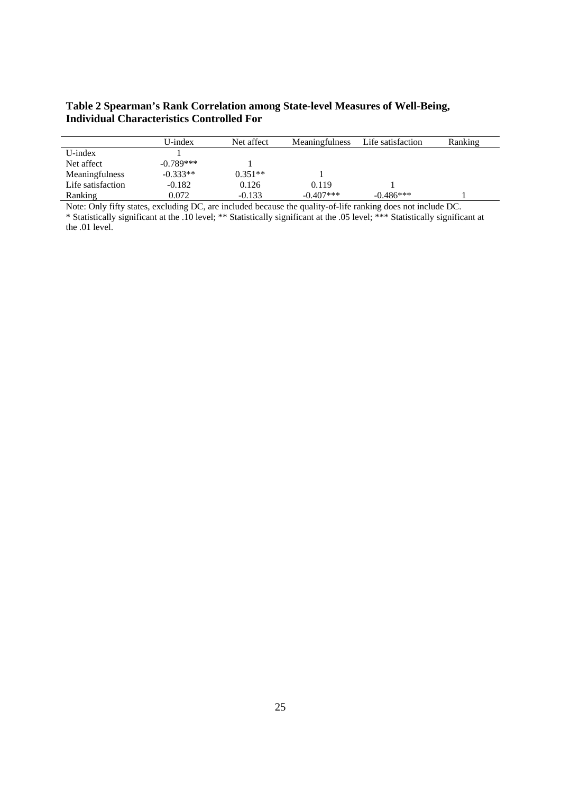#### **Table 2 Spearman's Rank Correlation among State-level Measures of Well-Being, Individual Characteristics Controlled For**

|                   | U-index     | Net affect | Meaningfulness | Life satisfaction | Ranking |
|-------------------|-------------|------------|----------------|-------------------|---------|
| $U$ -index        |             |            |                |                   |         |
| Net affect        | $-0.789***$ |            |                |                   |         |
| Meaningfulness    | $-0.333**$  | $0.351**$  |                |                   |         |
| Life satisfaction | $-0.182$    | 0.126      | 0.119          |                   |         |
| Ranking           | 0.072       | $-0.133$   | $-0.407***$    | $-0.486***$       |         |

Note: Only fifty states, excluding DC, are included because the quality-of-life ranking does not include DC. \* Statistically significant at the .10 level; \*\* Statistically significant at the .05 level; \*\*\* Statistically significant at the .01 level.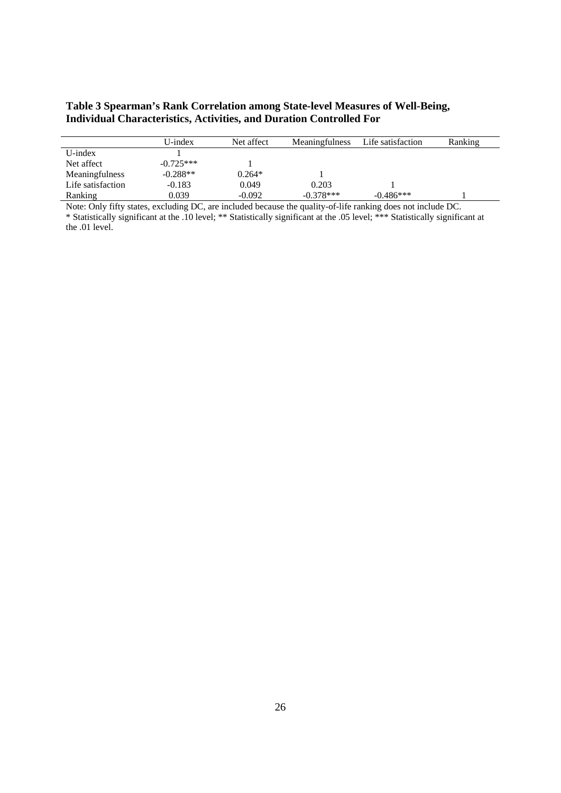#### **Table 3 Spearman's Rank Correlation among State-level Measures of Well-Being, Individual Characteristics, Activities, and Duration Controlled For**

|                   | $U$ -index  | Net affect | <b>Meaningfulness</b> | Life satisfaction | Ranking |
|-------------------|-------------|------------|-----------------------|-------------------|---------|
| U-index           |             |            |                       |                   |         |
| Net affect        | $-0.725***$ |            |                       |                   |         |
| Meaningfulness    | $-0.288**$  | $0.264*$   |                       |                   |         |
| Life satisfaction | $-0.183$    | 0.049      | 0.203                 |                   |         |
| Ranking           | 0.039       | $-0.092$   | $-0.378***$           | $-0.486***$       |         |

Note: Only fifty states, excluding DC, are included because the quality-of-life ranking does not include DC. \* Statistically significant at the .10 level; \*\* Statistically significant at the .05 level; \*\*\* Statistically significant at the .01 level.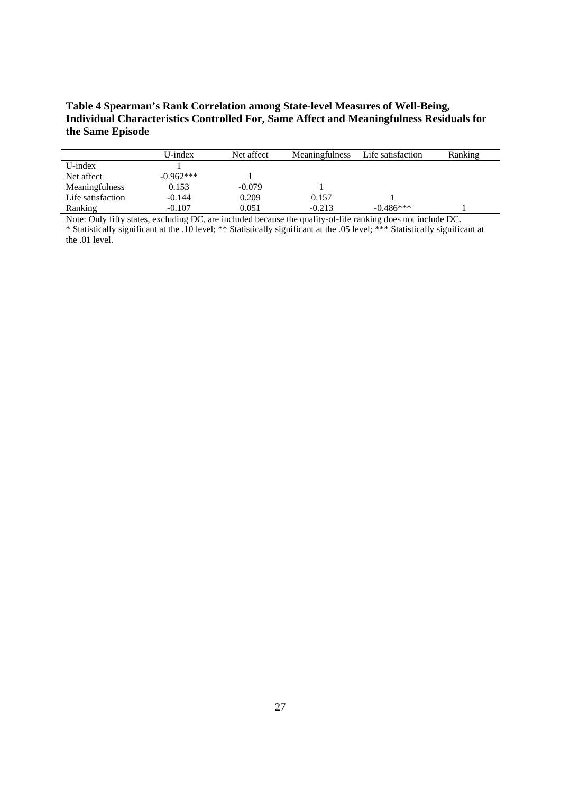#### **Table 4 Spearman's Rank Correlation among State-level Measures of Well-Being, Individual Characteristics Controlled For, Same Affect and Meaningfulness Residuals for the Same Episode**

|                   | U-index     | Net affect | Meaningfulness | Life satisfaction | Ranking |
|-------------------|-------------|------------|----------------|-------------------|---------|
| $U$ -index        |             |            |                |                   |         |
| Net affect        | $-0.962***$ |            |                |                   |         |
| Meaningfulness    | 0.153       | $-0.079$   |                |                   |         |
| Life satisfaction | $-0.144$    | 0.209      | 0.157          |                   |         |
| Ranking           | $-0.107$    | 0.051      | $-0.213$       | $-0.486***$       |         |

Note: Only fifty states, excluding DC, are included because the quality-of-life ranking does not include DC. \* Statistically significant at the .10 level; \*\* Statistically significant at the .05 level; \*\*\* Statistically significant at the .01 level.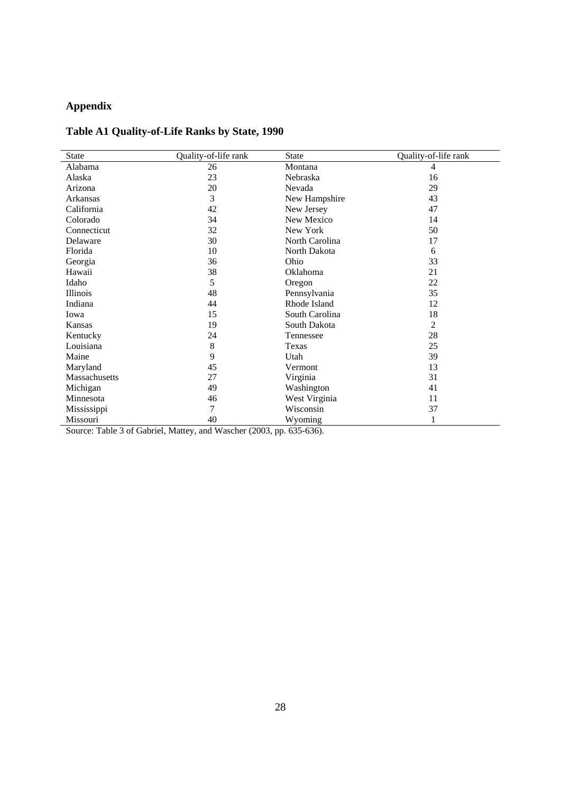# **Appendix**

### **Table A1 Quality-of-Life Ranks by State, 1990**

| <b>State</b>  | Quality-of-life rank | <b>State</b>   | Quality-of-life rank |
|---------------|----------------------|----------------|----------------------|
| Alabama       | 26                   | Montana        | 4                    |
| Alaska        | 23                   | Nebraska       | 16                   |
| Arizona       | 20                   | Nevada         | 29                   |
| Arkansas      | 3                    | New Hampshire  | 43                   |
| California    | 42                   | New Jersey     | 47                   |
| Colorado      | 34                   | New Mexico     | 14                   |
| Connecticut   | 32                   | New York       | 50                   |
| Delaware      | 30                   | North Carolina | 17                   |
| Florida       | 10                   | North Dakota   | 6                    |
| Georgia       | 36                   | Ohio           | 33                   |
| Hawaii        | 38                   | Oklahoma       | 21                   |
| Idaho         | 5                    | Oregon         | 22                   |
| Illinois      | 48                   | Pennsylvania   | 35                   |
| Indiana       | 44                   | Rhode Island   | 12                   |
| Iowa          | 15                   | South Carolina | 18                   |
| Kansas        | 19                   | South Dakota   | 2                    |
| Kentucky      | 24                   | Tennessee      | 28                   |
| Louisiana     | 8                    | Texas          | 25                   |
| Maine         | 9                    | Utah           | 39                   |
| Maryland      | 45                   | Vermont        | 13                   |
| Massachusetts | 27                   | Virginia       | 31                   |
| Michigan      | 49                   | Washington     | 41                   |
| Minnesota     | 46                   | West Virginia  | 11                   |
| Mississippi   | 7                    | Wisconsin      | 37                   |
| Missouri      | 40                   | Wyoming        |                      |

Source: Table 3 of Gabriel, Mattey, and Wascher (2003, pp. 635-636).